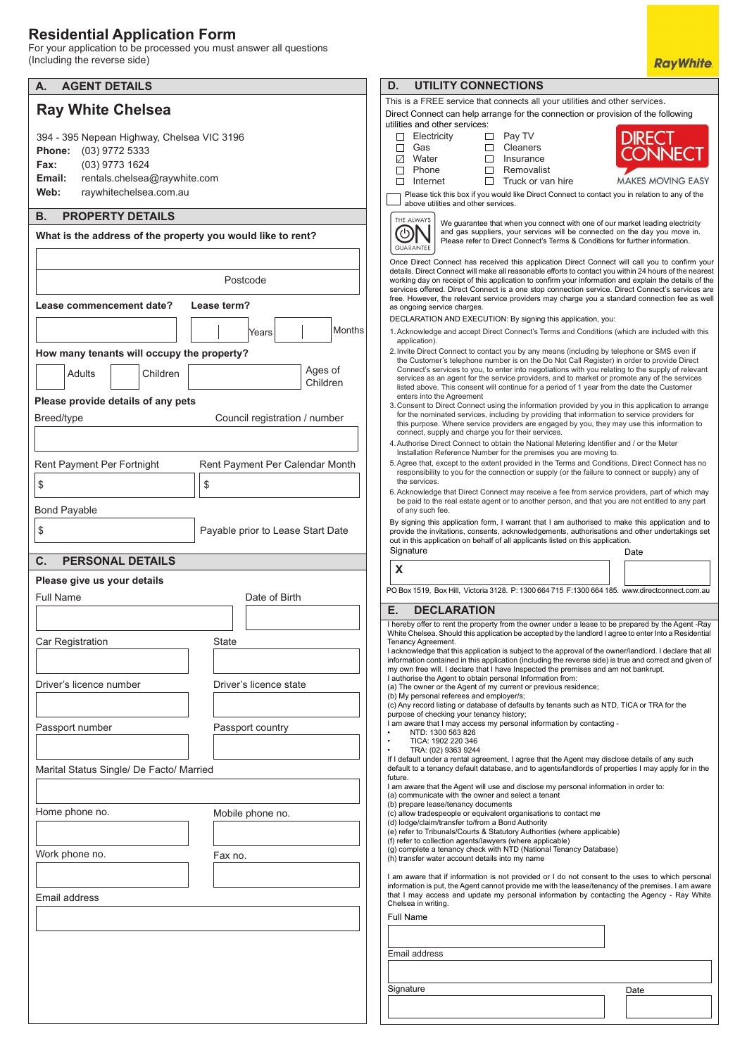## **Residential Application Form**

For your application to be processed you must answer all questions (Including the reverse side)

| <b>AGENT DETAILS</b><br>А.                                                                                                                                                          | D.<br><b>UTILITY CONNECTIONS</b>                                                                                                                                                                                                                                                                                                                                                                                                           |
|-------------------------------------------------------------------------------------------------------------------------------------------------------------------------------------|--------------------------------------------------------------------------------------------------------------------------------------------------------------------------------------------------------------------------------------------------------------------------------------------------------------------------------------------------------------------------------------------------------------------------------------------|
|                                                                                                                                                                                     | This is a FREE service that connects all your utilities and other services.                                                                                                                                                                                                                                                                                                                                                                |
| <b>Ray White Chelsea</b>                                                                                                                                                            | Direct Connect can help arrange for the connection or provision of the following<br>utilities and other services:                                                                                                                                                                                                                                                                                                                          |
| 394 - 395 Nepean Highway, Chelsea VIC 3196<br>(03) 9772 5333<br><b>Phone:</b><br>(03) 9773 1624<br>Fax:<br>rentals.chelsea@raywhite.com<br>Email:<br>Web:<br>raywhitechelsea.com.au | Pay TV<br>Electricity<br>DIRECT<br>□<br>$\Box$<br>Cleaners<br>Gas<br>П<br>□<br>CONNECT<br>Insurance<br>☑<br>Water<br>□<br>Removalist<br>□<br>Phone<br>□<br><b>MAKES MOVING EASY</b><br>$\Box$<br>□<br>Internet<br>Truck or van hire<br>Please tick this box if you would like Direct Connect to contact you in relation to any of the                                                                                                      |
| <b>PROPERTY DETAILS</b><br>В.                                                                                                                                                       | above utilities and other services.                                                                                                                                                                                                                                                                                                                                                                                                        |
|                                                                                                                                                                                     | THE ALWAYS<br>We guarantee that when you connect with one of our market leading electricity<br>(ෆ<br>and gas suppliers, your services will be connected on the day you move in.                                                                                                                                                                                                                                                            |
| What is the address of the property you would like to rent?                                                                                                                         | Please refer to Direct Connect's Terms & Conditions for further information.<br>GUARANTEE<br>Once Direct Connect has received this application Direct Connect will call you to confirm your                                                                                                                                                                                                                                                |
| Postcode                                                                                                                                                                            | details. Direct Connect will make all reasonable efforts to contact you within 24 hours of the nearest<br>working day on receipt of this application to confirm your information and explain the details of the<br>services offered. Direct Connect is a one stop connection service. Direct Connect's services are                                                                                                                        |
| Lease commencement date?<br>Lease term?                                                                                                                                             | free. However, the relevant service providers may charge you a standard connection fee as well<br>as ongoing service charges.                                                                                                                                                                                                                                                                                                              |
| Months<br>Years<br>How many tenants will occupy the property?                                                                                                                       | DECLARATION AND EXECUTION: By signing this application, you:<br>1. Acknowledge and accept Direct Connect's Terms and Conditions (which are included with this<br>application).<br>2. Invite Direct Connect to contact you by any means (including by telephone or SMS even if                                                                                                                                                              |
| Ages of<br>Adults<br>Children                                                                                                                                                       | the Customer's telephone number is on the Do Not Call Register) in order to provide Direct<br>Connect's services to you, to enter into negotiations with you relating to the supply of relevant                                                                                                                                                                                                                                            |
| Children                                                                                                                                                                            | services as an agent for the service providers, and to market or promote any of the services<br>listed above. This consent will continue for a period of 1 year from the date the Customer                                                                                                                                                                                                                                                 |
| Please provide details of any pets                                                                                                                                                  | enters into the Agreement<br>3. Consent to Direct Connect using the information provided by you in this application to arrange                                                                                                                                                                                                                                                                                                             |
| Breed/type<br>Council registration / number                                                                                                                                         | for the nominated services, including by providing that information to service providers for<br>this purpose. Where service providers are engaged by you, they may use this information to<br>connect, supply and charge you for their services.                                                                                                                                                                                           |
|                                                                                                                                                                                     | 4. Authorise Direct Connect to obtain the National Metering Identifier and / or the Meter<br>Installation Reference Number for the premises you are moving to.                                                                                                                                                                                                                                                                             |
| Rent Payment Per Fortnight<br>Rent Payment Per Calendar Month                                                                                                                       | 5. Agree that, except to the extent provided in the Terms and Conditions, Direct Connect has no<br>responsibility to you for the connection or supply (or the failure to connect or supply) any of                                                                                                                                                                                                                                         |
| \$<br>\$                                                                                                                                                                            | the services.<br>6. Acknowledge that Direct Connect may receive a fee from service providers, part of which may<br>be paid to the real estate agent or to another person, and that you are not entitled to any part                                                                                                                                                                                                                        |
| <b>Bond Payable</b>                                                                                                                                                                 | of any such fee.<br>By signing this application form, I warrant that I am authorised to make this application and to                                                                                                                                                                                                                                                                                                                       |
| \$<br>Payable prior to Lease Start Date                                                                                                                                             | provide the invitations, consents, acknowledgements, authorisations and other undertakings set<br>out in this application on behalf of all applicants listed on this application.<br>Signature<br>Date                                                                                                                                                                                                                                     |
| <b>PERSONAL DETAILS</b><br>С.                                                                                                                                                       |                                                                                                                                                                                                                                                                                                                                                                                                                                            |
|                                                                                                                                                                                     |                                                                                                                                                                                                                                                                                                                                                                                                                                            |
| Please give us your details                                                                                                                                                         | X                                                                                                                                                                                                                                                                                                                                                                                                                                          |
| <b>Full Name</b><br>Date of Birth                                                                                                                                                   | PO Box 1519, Box Hill, Victoria 3128. P: 1300 664 715 F:1300 664 185. www.directconnect.com.au                                                                                                                                                                                                                                                                                                                                             |
|                                                                                                                                                                                     | Е.<br><b>DECLARATION</b><br>I hereby offer to rent the property from the owner under a lease to be prepared by the Agent -Ray                                                                                                                                                                                                                                                                                                              |
| Car Registration<br>State                                                                                                                                                           | White Chelsea. Should this application be accepted by the landlord I agree to enter Into a Residential<br>Tenancy Agreement.<br>I acknowledge that this application is subject to the approval of the owner/landlord. I declare that all<br>information contained in this application (including the reverse side) is true and correct and given of<br>my own free will. I declare that I have Inspected the premises and am not bankrupt. |
| Driver's licence number<br>Driver's licence state                                                                                                                                   | I authorise the Agent to obtain personal Information from:<br>(a) The owner or the Agent of my current or previous residence;                                                                                                                                                                                                                                                                                                              |
|                                                                                                                                                                                     | (b) My personal referees and employer/s;<br>(c) Any record listing or database of defaults by tenants such as NTD, TICA or TRA for the                                                                                                                                                                                                                                                                                                     |
| Passport number<br>Passport country                                                                                                                                                 | purpose of checking your tenancy history;<br>I am aware that I may access my personal information by contacting -                                                                                                                                                                                                                                                                                                                          |
|                                                                                                                                                                                     | NTD: 1300 563 826<br>TICA: 1902 220 346<br>$\bullet$<br>$\bullet$<br>TRA: (02) 9363 9244                                                                                                                                                                                                                                                                                                                                                   |
| Marital Status Single/ De Facto/ Married                                                                                                                                            | If I default under a rental agreement, I agree that the Agent may disclose details of any such<br>default to a tenancy default database, and to agents/landlords of properties I may apply for in the<br>future.                                                                                                                                                                                                                           |
|                                                                                                                                                                                     | I am aware that the Agent will use and disclose my personal information in order to:<br>(a) communicate with the owner and select a tenant                                                                                                                                                                                                                                                                                                 |
| Home phone no.<br>Mobile phone no.                                                                                                                                                  | (b) prepare lease/tenancy documents<br>(c) allow tradespeople or equivalent organisations to contact me<br>(d) lodge/claim/transfer to/from a Bond Authority                                                                                                                                                                                                                                                                               |
|                                                                                                                                                                                     | (e) refer to Tribunals/Courts & Statutory Authorities (where applicable)<br>(f) refer to collection agents/lawyers (where applicable)                                                                                                                                                                                                                                                                                                      |
| Work phone no.<br>Fax no.                                                                                                                                                           | (g) complete a tenancy check with NTD (National Tenancy Database)<br>(h) transfer water account details into my name                                                                                                                                                                                                                                                                                                                       |
|                                                                                                                                                                                     | I am aware that if information is not provided or I do not consent to the uses to which personal<br>information is put, the Agent cannot provide me with the lease/tenancy of the premises. I am aware                                                                                                                                                                                                                                     |
| Email address                                                                                                                                                                       | that I may access and update my personal information by contacting the Agency - Ray White<br>Chelsea in writing.                                                                                                                                                                                                                                                                                                                           |
|                                                                                                                                                                                     | <b>Full Name</b>                                                                                                                                                                                                                                                                                                                                                                                                                           |
|                                                                                                                                                                                     |                                                                                                                                                                                                                                                                                                                                                                                                                                            |
|                                                                                                                                                                                     | Email address                                                                                                                                                                                                                                                                                                                                                                                                                              |
|                                                                                                                                                                                     |                                                                                                                                                                                                                                                                                                                                                                                                                                            |
|                                                                                                                                                                                     | Signature<br>Date                                                                                                                                                                                                                                                                                                                                                                                                                          |